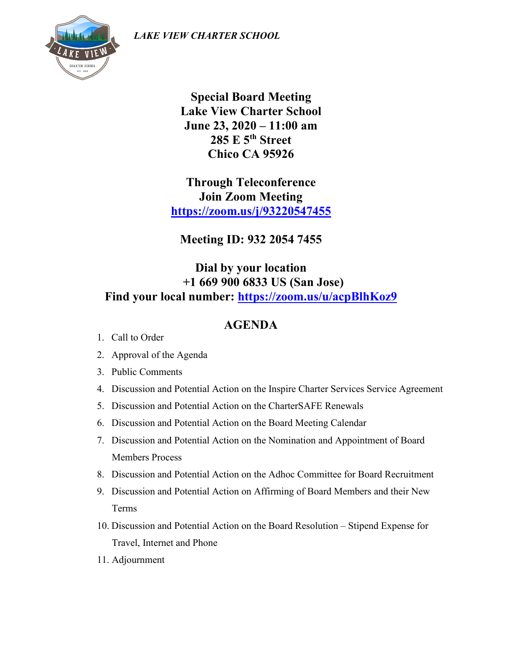*LAKE VIEW CHARTER SCHOOL*



**Special Board Meeting Lake View Charter School June 23, 2020 – 11:00 am 285 E 5th Street Chico CA 95926**

**Through Teleconference Join Zoom Meeting <https://zoom.us/j/93220547455>**

**Meeting ID: 932 2054 7455**

## **Dial by your location +1 669 900 6833 US (San Jose) Find your local number:<https://zoom.us/u/acpBlhKoz9>**

## **AGENDA**

- 1. Call to Order
- 2. Approval of the Agenda
- 3. Public Comments
- 4. Discussion and Potential Action on the Inspire Charter Services Service Agreement
- 5. Discussion and Potential Action on the CharterSAFE Renewals
- 6. Discussion and Potential Action on the Board Meeting Calendar
- 7. Discussion and Potential Action on the Nomination and Appointment of Board Members Process
- 8. Discussion and Potential Action on the Adhoc Committee for Board Recruitment
- 9. Discussion and Potential Action on Affirming of Board Members and their New Terms
- 10. Discussion and Potential Action on the Board Resolution Stipend Expense for Travel, Internet and Phone
- 11. Adjournment